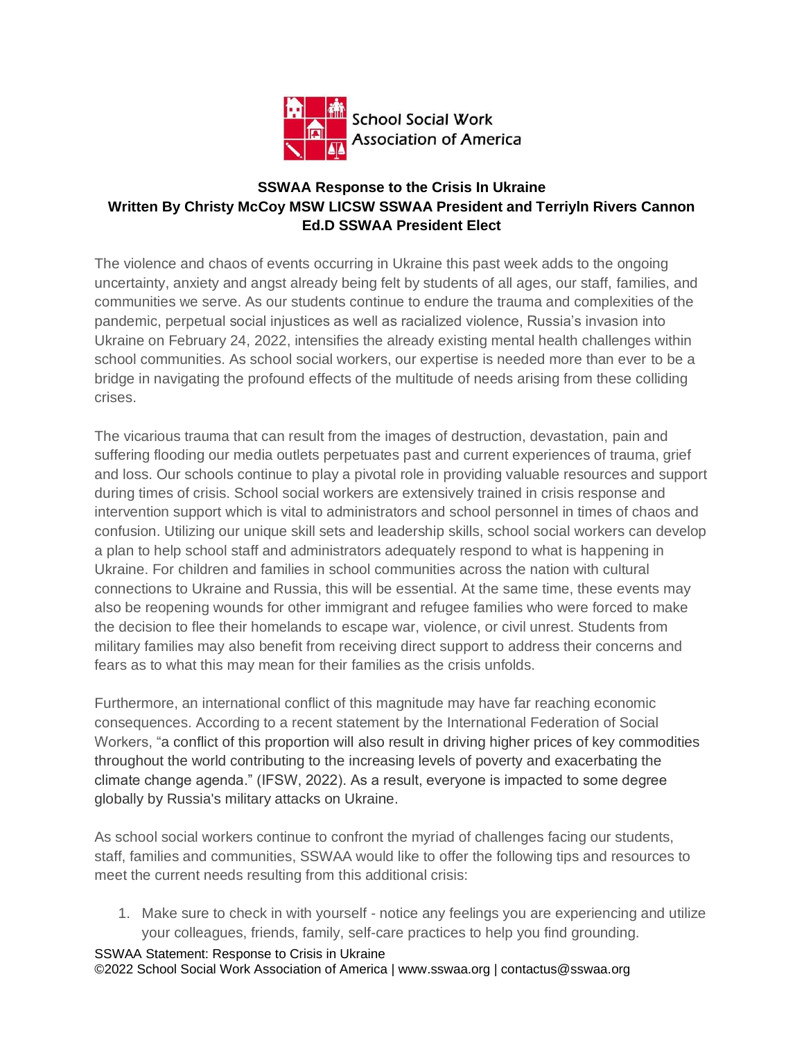

## **SSWAA Response to the Crisis In Ukraine Written By Christy McCoy MSW LICSW SSWAA President and Terriyln Rivers Cannon Ed.D SSWAA President Elect**

The violence and chaos of events occurring in Ukraine this past week adds to the ongoing uncertainty, anxiety and angst already being felt by students of all ages, our staff, families, and communities we serve. As our students continue to endure the trauma and complexities of the pandemic, perpetual social injustices as well as racialized violence, Russia's invasion into Ukraine on February 24, 2022, intensifies the already existing mental health challenges within school communities. As school social workers, our expertise is needed more than ever to be a bridge in navigating the profound effects of the multitude of needs arising from these colliding crises.

The vicarious trauma that can result from the images of destruction, devastation, pain and suffering flooding our media outlets perpetuates past and current experiences of trauma, grief and loss. Our schools continue to play a pivotal role in providing valuable resources and support during times of crisis. School social workers are extensively trained in crisis response and intervention support which is vital to administrators and school personnel in times of chaos and confusion. Utilizing our unique skill sets and leadership skills, school social workers can develop a plan to help school staff and administrators adequately respond to what is happening in Ukraine. For children and families in school communities across the nation with cultural connections to Ukraine and Russia, this will be essential. At the same time, these events may also be reopening wounds for other immigrant and refugee families who were forced to make the decision to flee their homelands to escape war, violence, or civil unrest. Students from military families may also benefit from receiving direct support to address their concerns and fears as to what this may mean for their families as the crisis unfolds.

Furthermore, an international conflict of this magnitude may have far reaching economic consequences. According to a recent statement by the International Federation of Social Workers, "a conflict of this proportion will also result in driving higher prices of key commodities throughout the world contributing to the increasing levels of poverty and exacerbating the climate change agenda." (IFSW, 2022). As a result, everyone is impacted to some degree globally by Russia's military attacks on Ukraine.

As school social workers continue to confront the myriad of challenges facing our students, staff, families and communities, SSWAA would like to offer the following tips and resources to meet the current needs resulting from this additional crisis:

1. Make sure to check in with yourself - notice any feelings you are experiencing and utilize your colleagues, friends, family, self-care practices to help you find grounding.

SSWAA Statement: Response to Crisis in Ukraine ©2022 School Social Work Association of America | www.sswaa.org | contactus@sswaa.org